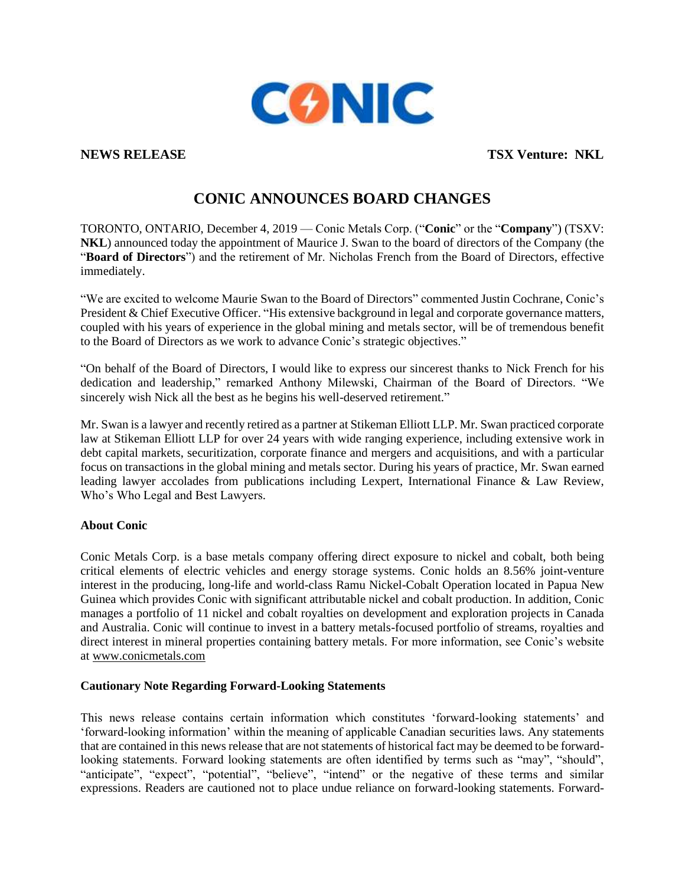

**NEWS RELEASE TEXT OF THE SECOND SECOND SECOND SECOND SECOND SECOND SECOND SECOND SECOND SECOND SECOND SECOND SECOND SECOND SECOND SECOND SECOND SECOND SECOND SECOND SECOND SECOND SECOND SECOND SECOND SECOND SECOND SECOND** 

## **CONIC ANNOUNCES BOARD CHANGES**

TORONTO, ONTARIO, December 4, 2019 — Conic Metals Corp. ("**Conic**" or the "**Company**") (TSXV: **NKL**) announced today the appointment of Maurice J. Swan to the board of directors of the Company (the "**Board of Directors**") and the retirement of Mr. Nicholas French from the Board of Directors, effective immediately.

"We are excited to welcome Maurie Swan to the Board of Directors" commented Justin Cochrane, Conic's President & Chief Executive Officer. "His extensive background in legal and corporate governance matters, coupled with his years of experience in the global mining and metals sector, will be of tremendous benefit to the Board of Directors as we work to advance Conic's strategic objectives."

"On behalf of the Board of Directors, I would like to express our sincerest thanks to Nick French for his dedication and leadership," remarked Anthony Milewski, Chairman of the Board of Directors. "We sincerely wish Nick all the best as he begins his well-deserved retirement."

Mr. Swan is a lawyer and recently retired as a partner at Stikeman Elliott LLP. Mr. Swan practiced corporate law at Stikeman Elliott LLP for over 24 years with wide ranging experience, including extensive work in debt capital markets, securitization, corporate finance and mergers and acquisitions, and with a particular focus on transactions in the global mining and metals sector. During his years of practice, Mr. Swan earned leading lawyer accolades from publications including Lexpert, International Finance & Law Review, Who's Who Legal and Best Lawyers.

## **About Conic**

Conic Metals Corp. is a base metals company offering direct exposure to nickel and cobalt, both being critical elements of electric vehicles and energy storage systems. Conic holds an 8.56% joint-venture interest in the producing, long-life and world-class Ramu Nickel-Cobalt Operation located in Papua New Guinea which provides Conic with significant attributable nickel and cobalt production. In addition, Conic manages a portfolio of 11 nickel and cobalt royalties on development and exploration projects in Canada and Australia. Conic will continue to invest in a battery metals-focused portfolio of streams, royalties and direct interest in mineral properties containing battery metals. For more information, see Conic's website at [www.conicmetals.com](http://www.conicmetals.com/)

## **Cautionary Note Regarding Forward-Looking Statements**

This news release contains certain information which constitutes 'forward-looking statements' and 'forward-looking information' within the meaning of applicable Canadian securities laws. Any statements that are contained in this news release that are not statements of historical fact may be deemed to be forwardlooking statements. Forward looking statements are often identified by terms such as "may", "should", "anticipate", "expect", "potential", "believe", "intend" or the negative of these terms and similar expressions. Readers are cautioned not to place undue reliance on forward-looking statements. Forward